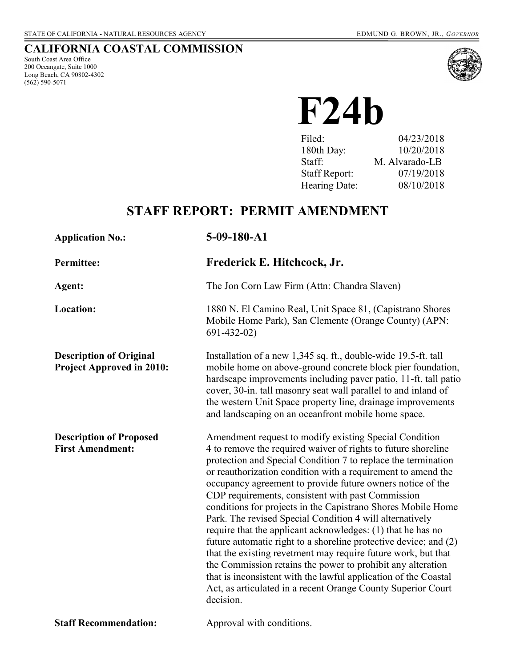## **CALIFORNIA COASTAL COMMISSION**

South Coast Area Office 200 Oceangate, Suite 1000 Long Beach, CA 90802-4302 (562) 590-5071



 **F24b** 

| Filed:               | 04/23/2018     |
|----------------------|----------------|
| 180th Day:           | 10/20/2018     |
| Staff:               | M. Alvarado-LB |
| <b>Staff Report:</b> | 07/19/2018     |
| Hearing Date:        | 08/10/2018     |

# **STAFF REPORT: PERMIT AMENDMENT**

| <b>Application No.:</b>                                            | 5-09-180-A1                                                                                                                                                                                                                                                                                                                                                                                                                                                                                                                                                                                                                                                                                                                                                                                                                                                                                                                |  |
|--------------------------------------------------------------------|----------------------------------------------------------------------------------------------------------------------------------------------------------------------------------------------------------------------------------------------------------------------------------------------------------------------------------------------------------------------------------------------------------------------------------------------------------------------------------------------------------------------------------------------------------------------------------------------------------------------------------------------------------------------------------------------------------------------------------------------------------------------------------------------------------------------------------------------------------------------------------------------------------------------------|--|
| <b>Permittee:</b>                                                  | Frederick E. Hitchcock, Jr.                                                                                                                                                                                                                                                                                                                                                                                                                                                                                                                                                                                                                                                                                                                                                                                                                                                                                                |  |
| Agent:                                                             | The Jon Corn Law Firm (Attn: Chandra Slaven)                                                                                                                                                                                                                                                                                                                                                                                                                                                                                                                                                                                                                                                                                                                                                                                                                                                                               |  |
| Location:                                                          | 1880 N. El Camino Real, Unit Space 81, (Capistrano Shores<br>Mobile Home Park), San Clemente (Orange County) (APN:<br>$691 - 432 - 02$                                                                                                                                                                                                                                                                                                                                                                                                                                                                                                                                                                                                                                                                                                                                                                                     |  |
| <b>Description of Original</b><br><b>Project Approved in 2010:</b> | Installation of a new 1,345 sq. ft., double-wide 19.5-ft. tall<br>mobile home on above-ground concrete block pier foundation,<br>hardscape improvements including paver patio, 11-ft. tall patio<br>cover, 30-in. tall masonry seat wall parallel to and inland of<br>the western Unit Space property line, drainage improvements<br>and landscaping on an oceanfront mobile home space.                                                                                                                                                                                                                                                                                                                                                                                                                                                                                                                                   |  |
| <b>Description of Proposed</b><br><b>First Amendment:</b>          | Amendment request to modify existing Special Condition<br>4 to remove the required waiver of rights to future shoreline<br>protection and Special Condition 7 to replace the termination<br>or reauthorization condition with a requirement to amend the<br>occupancy agreement to provide future owners notice of the<br>CDP requirements, consistent with past Commission<br>conditions for projects in the Capistrano Shores Mobile Home<br>Park. The revised Special Condition 4 will alternatively<br>require that the applicant acknowledges: (1) that he has no<br>future automatic right to a shoreline protective device; and (2)<br>that the existing revetment may require future work, but that<br>the Commission retains the power to prohibit any alteration<br>that is inconsistent with the lawful application of the Coastal<br>Act, as articulated in a recent Orange County Superior Court<br>decision. |  |
| <b>Staff Recommendation:</b>                                       | Approval with conditions.                                                                                                                                                                                                                                                                                                                                                                                                                                                                                                                                                                                                                                                                                                                                                                                                                                                                                                  |  |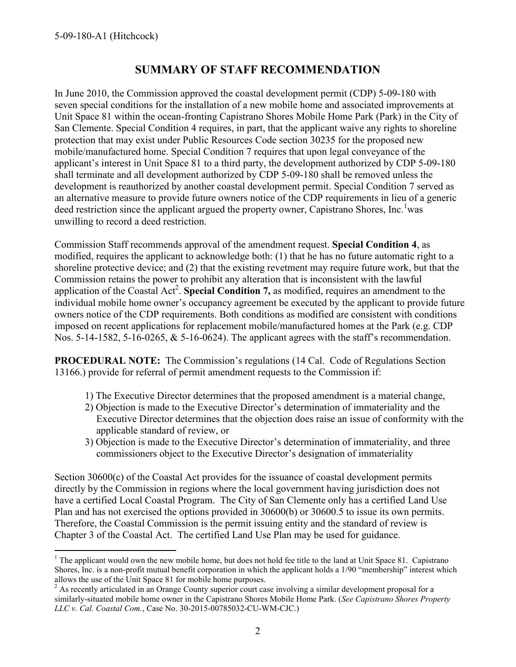$\overline{a}$ 

## **SUMMARY OF STAFF RECOMMENDATION**

In June 2010, the Commission approved the coastal development permit (CDP) 5-09-180 with seven special conditions for the installation of a new mobile home and associated improvements at Unit Space 81 within the ocean-fronting Capistrano Shores Mobile Home Park (Park) in the City of San Clemente. Special Condition 4 requires, in part, that the applicant waive any rights to shoreline protection that may exist under Public Resources Code section 30235 for the proposed new mobile/manufactured home. Special Condition 7 requires that upon legal conveyance of the applicant's interest in Unit Space 81 to a third party, the development authorized by CDP 5-09-180 shall terminate and all development authorized by CDP 5-09-180 shall be removed unless the development is reauthorized by another coastal development permit. Special Condition 7 served as an alternative measure to provide future owners notice of the CDP requirements in lieu of a generic deed restriction since the applicant argued the property owner, Capistrano Shores, Inc.<sup>1</sup>was unwilling to record a deed restriction.

Commission Staff recommends approval of the amendment request. **Special Condition 4**, as modified, requires the applicant to acknowledge both: (1) that he has no future automatic right to a shoreline protective device; and (2) that the existing revetment may require future work, but that the Commission retains the power to prohibit any alteration that is inconsistent with the lawful application of the Coastal Act<sup>2</sup>. Special Condition 7, as modified, requires an amendment to the individual mobile home owner's occupancy agreement be executed by the applicant to provide future owners notice of the CDP requirements. Both conditions as modified are consistent with conditions imposed on recent applications for replacement mobile/manufactured homes at the Park (e.g. CDP Nos. 5-14-1582, 5-16-0265, & 5-16-0624). The applicant agrees with the staff's recommendation.

**PROCEDURAL NOTE:** The Commission's regulations (14 Cal. Code of Regulations Section 13166.) provide for referral of permit amendment requests to the Commission if:

- 1) The Executive Director determines that the proposed amendment is a material change,
- 2) Objection is made to the Executive Director's determination of immateriality and the Executive Director determines that the objection does raise an issue of conformity with the applicable standard of review, or
- 3) Objection is made to the Executive Director's determination of immateriality, and three commissioners object to the Executive Director's designation of immateriality

Section 30600(c) of the Coastal Act provides for the issuance of coastal development permits directly by the Commission in regions where the local government having jurisdiction does not have a certified Local Coastal Program. The City of San Clemente only has a certified Land Use Plan and has not exercised the options provided in 30600(b) or 30600.5 to issue its own permits. Therefore, the Coastal Commission is the permit issuing entity and the standard of review is Chapter 3 of the Coastal Act. The certified Land Use Plan may be used for guidance.

<sup>&</sup>lt;sup>1</sup> The applicant would own the new mobile home, but does not hold fee title to the land at Unit Space 81. Capistrano Shores, Inc. is a non-profit mutual benefit corporation in which the applicant holds a 1/90 "membership" interest which allows the use of the Unit Space 81 for mobile home purposes.

 $2$  As recently articulated in an Orange County superior court case involving a similar development proposal for a similarly-situated mobile home owner in the Capistrano Shores Mobile Home Park. (*See Capistrano Shores Property LLC v. Cal. Coastal Com.*, Case No. 30-2015-00785032-CU-WM-CJC.)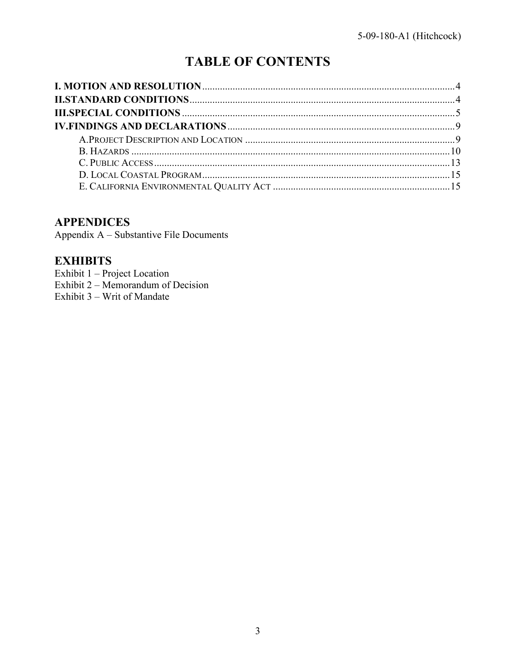# **TABLE OF CONTENTS**

### **APPENDICES**

Appendix A - Substantive File Documents

# **EXHIBITS**

Exhibit 1 – Project Location Exhibit  $2 - \text{Memorandum of Decision}$ Exhibit 3 – Writ of Mandate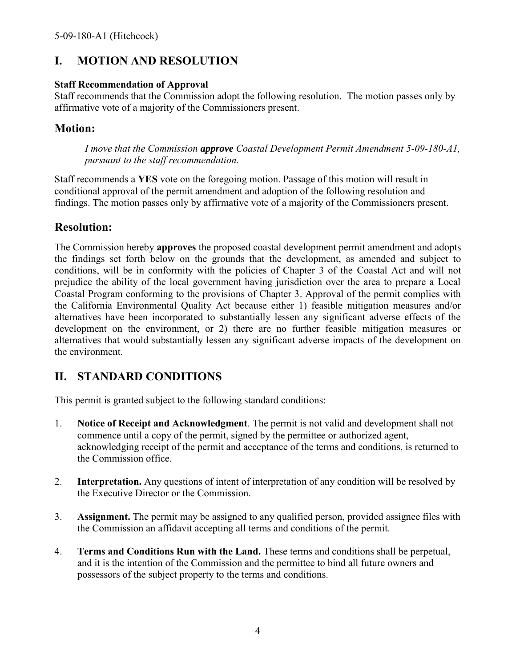# <span id="page-3-0"></span>**I. MOTION AND RESOLUTION**

#### **Staff Recommendation of Approval**

Staff recommends that the Commission adopt the following resolution. The motion passes only by affirmative vote of a majority of the Commissioners present.

## **Motion:**

*I move that the Commission approve Coastal Development Permit Amendment 5-09-180-A1, pursuant to the staff recommendation.* 

Staff recommends a **YES** vote on the foregoing motion. Passage of this motion will result in conditional approval of the permit amendment and adoption of the following resolution and findings. The motion passes only by affirmative vote of a majority of the Commissioners present.

## **Resolution:**

The Commission hereby **approves** the proposed coastal development permit amendment and adopts the findings set forth below on the grounds that the development, as amended and subject to conditions, will be in conformity with the policies of Chapter 3 of the Coastal Act and will not prejudice the ability of the local government having jurisdiction over the area to prepare a Local Coastal Program conforming to the provisions of Chapter 3. Approval of the permit complies with the California Environmental Quality Act because either 1) feasible mitigation measures and/or alternatives have been incorporated to substantially lessen any significant adverse effects of the development on the environment, or 2) there are no further feasible mitigation measures or alternatives that would substantially lessen any significant adverse impacts of the development on the environment.

# <span id="page-3-1"></span>**II. STANDARD CONDITIONS**

This permit is granted subject to the following standard conditions:

- 1. **Notice of Receipt and Acknowledgment**. The permit is not valid and development shall not commence until a copy of the permit, signed by the permittee or authorized agent, acknowledging receipt of the permit and acceptance of the terms and conditions, is returned to the Commission office.
- 2. **Interpretation.** Any questions of intent of interpretation of any condition will be resolved by the Executive Director or the Commission.
- 3. **Assignment.** The permit may be assigned to any qualified person, provided assignee files with the Commission an affidavit accepting all terms and conditions of the permit.
- 4. **Terms and Conditions Run with the Land.** These terms and conditions shall be perpetual, and it is the intention of the Commission and the permittee to bind all future owners and possessors of the subject property to the terms and conditions.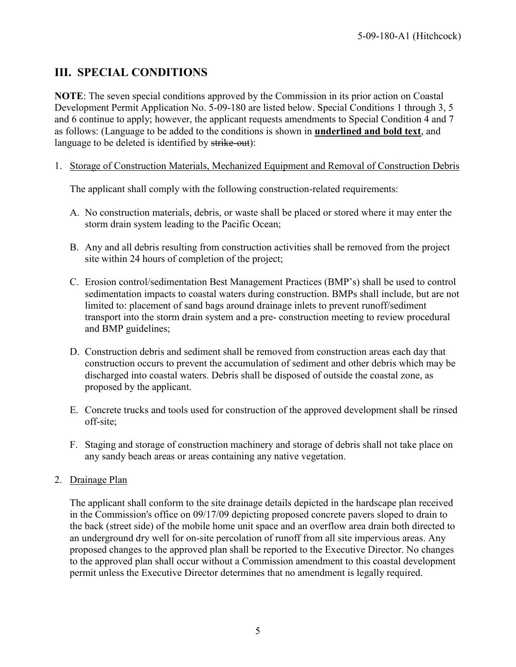# <span id="page-4-0"></span>**III. SPECIAL CONDITIONS**

**NOTE**: The seven special conditions approved by the Commission in its prior action on Coastal Development Permit Application No. 5-09-180 are listed below. Special Conditions 1 through 3, 5 and 6 continue to apply; however, the applicant requests amendments to Special Condition 4 and 7 as follows: (Language to be added to the conditions is shown in **underlined and bold text**, and language to be deleted is identified by strike-out):

1. Storage of Construction Materials, Mechanized Equipment and Removal of Construction Debris

The applicant shall comply with the following construction-related requirements:

- A. No construction materials, debris, or waste shall be placed or stored where it may enter the storm drain system leading to the Pacific Ocean;
- B. Any and all debris resulting from construction activities shall be removed from the project site within 24 hours of completion of the project;
- C. Erosion control/sedimentation Best Management Practices (BMP's) shall be used to control sedimentation impacts to coastal waters during construction. BMPs shall include, but are not limited to: placement of sand bags around drainage inlets to prevent runoff/sediment transport into the storm drain system and a pre- construction meeting to review procedural and BMP guidelines;
- D. Construction debris and sediment shall be removed from construction areas each day that construction occurs to prevent the accumulation of sediment and other debris which may be discharged into coastal waters. Debris shall be disposed of outside the coastal zone, as proposed by the applicant.
- E. Concrete trucks and tools used for construction of the approved development shall be rinsed off-site;
- F. Staging and storage of construction machinery and storage of debris shall not take place on any sandy beach areas or areas containing any native vegetation.

### 2. Drainage Plan

The applicant shall conform to the site drainage details depicted in the hardscape plan received in the Commission's office on 09/17/09 depicting proposed concrete pavers sloped to drain to the back (street side) of the mobile home unit space and an overflow area drain both directed to an underground dry well for on-site percolation of runoff from all site impervious areas. Any proposed changes to the approved plan shall be reported to the Executive Director. No changes to the approved plan shall occur without a Commission amendment to this coastal development permit unless the Executive Director determines that no amendment is legally required.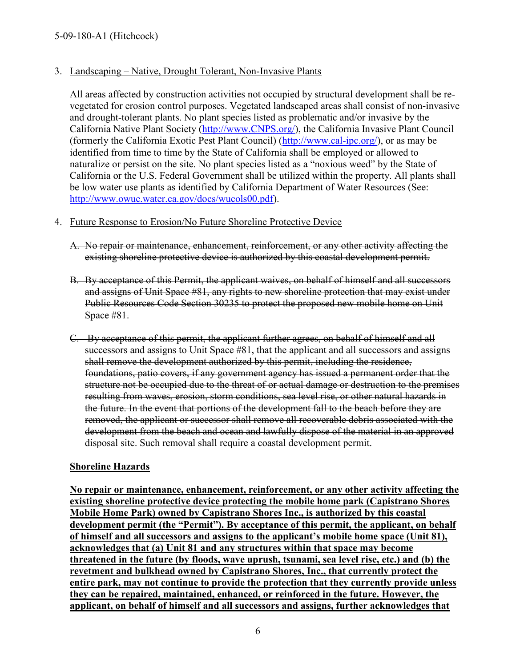#### 3. Landscaping – Native, Drought Tolerant, Non-Invasive Plants

All areas affected by construction activities not occupied by structural development shall be revegetated for erosion control purposes. Vegetated landscaped areas shall consist of non-invasive and drought-tolerant plants. No plant species listed as problematic and/or invasive by the California Native Plant Society [\(http://www.CNPS.org/\)](http://www.cnps.org/), the California Invasive Plant Council (formerly the California Exotic Pest Plant Council) [\(http://www.cal-ipc.org/\)](http://www.cal-ipc.org/), or as may be identified from time to time by the State of California shall be employed or allowed to naturalize or persist on the site. No plant species listed as a "noxious weed" by the State of California or the U.S. Federal Government shall be utilized within the property. All plants shall be low water use plants as identified by California Department of Water Resources (See: [http://www.owue.water.ca.gov/docs/wucols00.pdf\)](http://www.owue.water.ca.gov/docs/wucols00.pdf).

#### 4. Future Response to Erosion/No Future Shoreline Protective Device

- A. No repair or maintenance, enhancement, reinforcement, or any other activity affecting the existing shoreline protective device is authorized by this coastal development permit.
- B. By acceptance of this Permit, the applicant waives, on behalf of himself and all successors and assigns of Unit Space #81, any rights to new shoreline protection that may exist under Public Resources Code Section 30235 to protect the proposed new mobile home on Unit Space #81.
- C. By acceptance of this permit, the applicant further agrees, on behalf of himself and all successors and assigns to Unit Space #81, that the applicant and all successors and assigns shall remove the development authorized by this permit, including the residence, foundations, patio covers, if any government agency has issued a permanent order that the structure not be occupied due to the threat of or actual damage or destruction to the premises resulting from waves, erosion, storm conditions, sea level rise, or other natural hazards in the future. In the event that portions of the development fall to the beach before they are removed, the applicant or successor shall remove all recoverable debris associated with the development from the beach and ocean and lawfully dispose of the material in an approved disposal site. Such removal shall require a coastal development permit.

#### **Shoreline Hazards**

**No repair or maintenance, enhancement, reinforcement, or any other activity affecting the existing shoreline protective device protecting the mobile home park (Capistrano Shores Mobile Home Park) owned by Capistrano Shores Inc., is authorized by this coastal development permit (the "Permit"). By acceptance of this permit, the applicant, on behalf of himself and all successors and assigns to the applicant's mobile home space (Unit 81), acknowledges that (a) Unit 81 and any structures within that space may become threatened in the future (by floods, wave uprush, tsunami, sea level rise, etc.) and (b) the revetment and bulkhead owned by Capistrano Shores, Inc., that currently protect the entire park, may not continue to provide the protection that they currently provide unless they can be repaired, maintained, enhanced, or reinforced in the future. However, the applicant, on behalf of himself and all successors and assigns, further acknowledges that**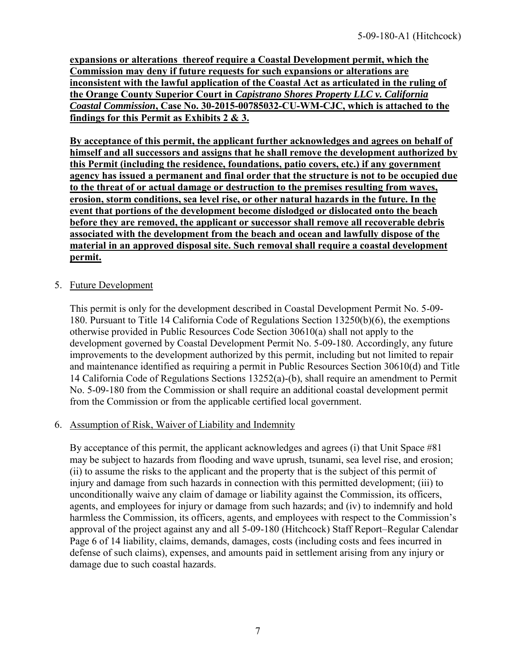**expansions or alterations thereof require a Coastal Development permit, which the Commission may deny if future requests for such expansions or alterations are inconsistent with the lawful application of the Coastal Act as articulated in the ruling of the Orange County Superior Court in** *Capistrano Shores Property LLC v. California Coastal Commission***, Case No. 30-2015-00785032-CU-WM-CJC, which is attached to the findings for this Permit as [Exhibits 2 & 3.](https://documents.coastal.ca.gov/reports/2018/8/f24b/f24b-8-2018-exhibits.pdf)**

**By acceptance of this permit, the applicant further acknowledges and agrees on behalf of himself and all successors and assigns that he shall remove the development authorized by this Permit (including the residence, foundations, patio covers, etc.) if any government agency has issued a permanent and final order that the structure is not to be occupied due to the threat of or actual damage or destruction to the premises resulting from waves, erosion, storm conditions, sea level rise, or other natural hazards in the future. In the event that portions of the development become dislodged or dislocated onto the beach before they are removed, the applicant or successor shall remove all recoverable debris associated with the development from the beach and ocean and lawfully dispose of the material in an approved disposal site. Such removal shall require a coastal development permit.** 

### 5. Future Development

This permit is only for the development described in Coastal Development Permit No. 5-09- 180. Pursuant to Title 14 California Code of Regulations Section 13250(b)(6), the exemptions otherwise provided in Public Resources Code Section 30610(a) shall not apply to the development governed by Coastal Development Permit No. 5-09-180. Accordingly, any future improvements to the development authorized by this permit, including but not limited to repair and maintenance identified as requiring a permit in Public Resources Section 30610(d) and Title 14 California Code of Regulations Sections 13252(a)-(b), shall require an amendment to Permit No. 5-09-180 from the Commission or shall require an additional coastal development permit from the Commission or from the applicable certified local government.

### 6. Assumption of Risk, Waiver of Liability and Indemnity

By acceptance of this permit, the applicant acknowledges and agrees (i) that Unit Space #81 may be subject to hazards from flooding and wave uprush, tsunami, sea level rise, and erosion; (ii) to assume the risks to the applicant and the property that is the subject of this permit of injury and damage from such hazards in connection with this permitted development; (iii) to unconditionally waive any claim of damage or liability against the Commission, its officers, agents, and employees for injury or damage from such hazards; and (iv) to indemnify and hold harmless the Commission, its officers, agents, and employees with respect to the Commission's approval of the project against any and all 5-09-180 (Hitchcock) Staff Report–Regular Calendar Page 6 of 14 liability, claims, demands, damages, costs (including costs and fees incurred in defense of such claims), expenses, and amounts paid in settlement arising from any injury or damage due to such coastal hazards.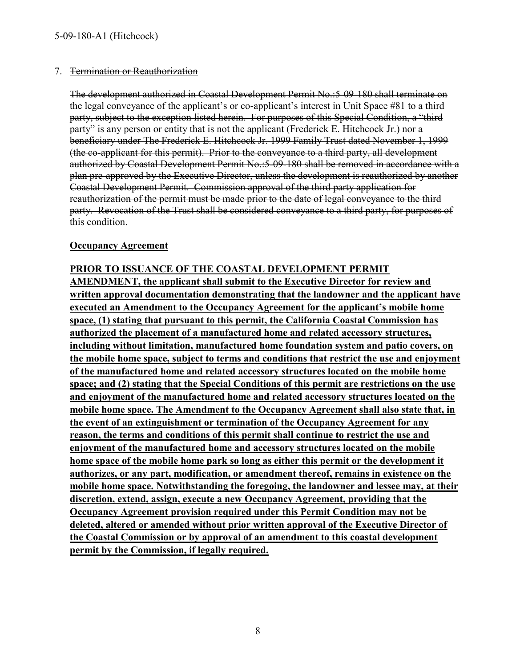#### 7. Termination or Reauthorization

The development authorized in Coastal Development Permit No.:5-09-180 shall terminate on the legal conveyance of the applicant's or co-applicant's interest in Unit Space #81 to a third party, subject to the exception listed herein. For purposes of this Special Condition, a "third party" is any person or entity that is not the applicant (Frederick E. Hitchcock Jr.) nor a beneficiary under The Frederick E. Hitchcock Jr. 1999 Family Trust dated November 1, 1999 (the co-applicant for this permit). Prior to the conveyance to a third party, all development authorized by Coastal Development Permit No.:5-09-180 shall be removed in accordance with a plan pre-approved by the Executive Director, unless the development is reauthorized by another Coastal Development Permit. Commission approval of the third party application for reauthorization of the permit must be made prior to the date of legal conveyance to the third party. Revocation of the Trust shall be considered conveyance to a third party, for purposes of this condition.

#### **Occupancy Agreement**

**PRIOR TO ISSUANCE OF THE COASTAL DEVELOPMENT PERMIT AMENDMENT, the applicant shall submit to the Executive Director for review and written approval documentation demonstrating that the landowner and the applicant have executed an Amendment to the Occupancy Agreement for the applicant's mobile home space, (1) stating that pursuant to this permit, the California Coastal Commission has authorized the placement of a manufactured home and related accessory structures, including without limitation, manufactured home foundation system and patio covers, on the mobile home space, subject to terms and conditions that restrict the use and enjoyment of the manufactured home and related accessory structures located on the mobile home space; and (2) stating that the Special Conditions of this permit are restrictions on the use and enjoyment of the manufactured home and related accessory structures located on the mobile home space. The Amendment to the Occupancy Agreement shall also state that, in the event of an extinguishment or termination of the Occupancy Agreement for any reason, the terms and conditions of this permit shall continue to restrict the use and enjoyment of the manufactured home and accessory structures located on the mobile home space of the mobile home park so long as either this permit or the development it authorizes, or any part, modification, or amendment thereof, remains in existence on the mobile home space. Notwithstanding the foregoing, the landowner and lessee may, at their discretion, extend, assign, execute a new Occupancy Agreement, providing that the Occupancy Agreement provision required under this Permit Condition may not be deleted, altered or amended without prior written approval of the Executive Director of the Coastal Commission or by approval of an amendment to this coastal development permit by the Commission, if legally required.**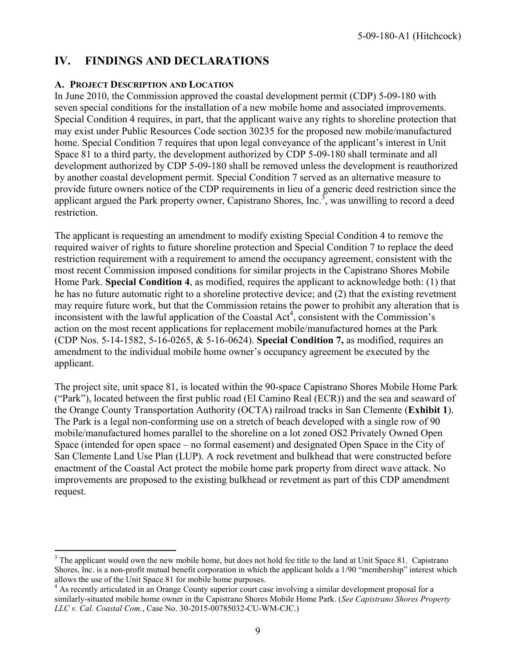## <span id="page-8-0"></span>**IV. FINDINGS AND DECLARATIONS**

#### <span id="page-8-1"></span>**A. PROJECT DESCRIPTION AND LOCATION**

In June 2010, the Commission approved the coastal development permit (CDP) 5-09-180 with seven special conditions for the installation of a new mobile home and associated improvements. Special Condition 4 requires, in part, that the applicant waive any rights to shoreline protection that may exist under Public Resources Code section 30235 for the proposed new mobile/manufactured home. Special Condition 7 requires that upon legal conveyance of the applicant's interest in Unit Space 81 to a third party, the development authorized by CDP 5-09-180 shall terminate and all development authorized by CDP 5-09-180 shall be removed unless the development is reauthorized by another coastal development permit. Special Condition 7 served as an alternative measure to provide future owners notice of the CDP requirements in lieu of a generic deed restriction since the applicant argued the Park property owner, Capistrano Shores, Inc.<sup>3</sup>, was unwilling to record a deed restriction.

The applicant is requesting an amendment to modify existing Special Condition 4 to remove the required waiver of rights to future shoreline protection and Special Condition 7 to replace the deed restriction requirement with a requirement to amend the occupancy agreement, consistent with the most recent Commission imposed conditions for similar projects in the Capistrano Shores Mobile Home Park. **Special Condition 4**, as modified, requires the applicant to acknowledge both: (1) that he has no future automatic right to a shoreline protective device; and (2) that the existing revetment may require future work, but that the Commission retains the power to prohibit any alteration that is inconsistent with the lawful application of the Coastal Act<sup>4</sup>, consistent with the Commission's action on the most recent applications for replacement mobile/manufactured homes at the Park (CDP Nos. 5-14-1582, 5-16-0265, & 5-16-0624). **Special Condition 7,** as modified, requires an amendment to the individual mobile home owner's occupancy agreement be executed by the applicant.

The project site, unit space 81, is located within the 90-space Capistrano Shores Mobile Home Park ("Park"), located between the first public road (El Camino Real (ECR)) and the sea and seaward of the Orange County Transportation Authority (OCTA) railroad tracks in San Clemente (**[Exhibit 1](https://documents.coastal.ca.gov/reports/2018/8/f24b/f24b-8-2018-exhibits.pdf)**). The Park is a legal non-conforming use on a stretch of beach developed with a single row of 90 mobile/manufactured homes parallel to the shoreline on a lot zoned OS2 Privately Owned Open Space (intended for open space – no formal easement) and designated Open Space in the City of San Clemente Land Use Plan (LUP). A rock revetment and bulkhead that were constructed before enactment of the Coastal Act protect the mobile home park property from direct wave attack. No improvements are proposed to the existing bulkhead or revetment as part of this CDP amendment request.

 $\overline{a}$  $3$  The applicant would own the new mobile home, but does not hold fee title to the land at Unit Space 81. Capistrano Shores, Inc. is a non-profit mutual benefit corporation in which the applicant holds a 1/90 "membership" interest which allows the use of the Unit Space 81 for mobile home purposes.

<sup>&</sup>lt;sup>4</sup> As recently articulated in an Orange County superior court case involving a similar development proposal for a similarly-situated mobile home owner in the Capistrano Shores Mobile Home Park. (*See Capistrano Shores Property LLC v. Cal. Coastal Com.*, Case No. 30-2015-00785032-CU-WM-CJC.)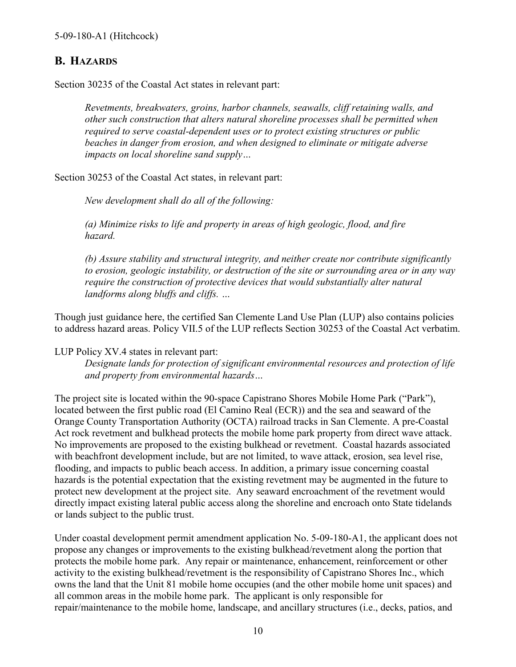### <span id="page-9-0"></span>**B. HAZARDS**

Section 30235 of the Coastal Act states in relevant part:

*Revetments, breakwaters, groins, harbor channels, seawalls, cliff retaining walls, and other such construction that alters natural shoreline processes shall be permitted when required to serve coastal-dependent uses or to protect existing structures or public beaches in danger from erosion, and when designed to eliminate or mitigate adverse impacts on local shoreline sand supply…* 

Section 30253 of the Coastal Act states, in relevant part:

*New development shall do all of the following:* 

*(a) Minimize risks to life and property in areas of high geologic, flood, and fire hazard.* 

*(b) Assure stability and structural integrity, and neither create nor contribute significantly to erosion, geologic instability, or destruction of the site or surrounding area or in any way require the construction of protective devices that would substantially alter natural landforms along bluffs and cliffs. …* 

Though just guidance here, the certified San Clemente Land Use Plan (LUP) also contains policies to address hazard areas. Policy VII.5 of the LUP reflects Section 30253 of the Coastal Act verbatim.

LUP Policy XV.4 states in relevant part:

*Designate lands for protection of significant environmental resources and protection of life and property from environmental hazards…* 

The project site is located within the 90-space Capistrano Shores Mobile Home Park ("Park"), located between the first public road (El Camino Real (ECR)) and the sea and seaward of the Orange County Transportation Authority (OCTA) railroad tracks in San Clemente. A pre-Coastal Act rock revetment and bulkhead protects the mobile home park property from direct wave attack. No improvements are proposed to the existing bulkhead or revetment. Coastal hazards associated with beachfront development include, but are not limited, to wave attack, erosion, sea level rise, flooding, and impacts to public beach access. In addition, a primary issue concerning coastal hazards is the potential expectation that the existing revetment may be augmented in the future to protect new development at the project site. Any seaward encroachment of the revetment would directly impact existing lateral public access along the shoreline and encroach onto State tidelands or lands subject to the public trust.

Under coastal development permit amendment application No. 5-09-180-A1, the applicant does not propose any changes or improvements to the existing bulkhead/revetment along the portion that protects the mobile home park. Any repair or maintenance, enhancement, reinforcement or other activity to the existing bulkhead/revetment is the responsibility of Capistrano Shores Inc., which owns the land that the Unit 81 mobile home occupies (and the other mobile home unit spaces) and all common areas in the mobile home park. The applicant is only responsible for repair/maintenance to the mobile home, landscape, and ancillary structures (i.e., decks, patios, and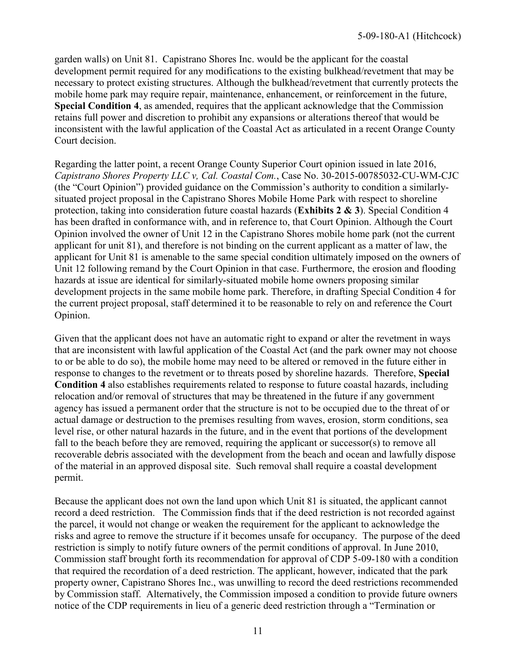garden walls) on Unit 81. Capistrano Shores Inc. would be the applicant for the coastal development permit required for any modifications to the existing bulkhead/revetment that may be necessary to protect existing structures. Although the bulkhead/revetment that currently protects the mobile home park may require repair, maintenance, enhancement, or reinforcement in the future, **Special Condition 4**, as amended, requires that the applicant acknowledge that the Commission retains full power and discretion to prohibit any expansions or alterations thereof that would be inconsistent with the lawful application of the Coastal Act as articulated in a recent Orange County Court decision.

Regarding the latter point, a recent Orange County Superior Court opinion issued in late 2016, *Capistrano Shores Property LLC v, Cal. Coastal Com.*, Case No. 30-2015-00785032-CU-WM-CJC (the "Court Opinion") provided guidance on the Commission's authority to condition a similarlysituated project proposal in the Capistrano Shores Mobile Home Park with respect to shoreline protection, taking into consideration future coastal hazards (**[Exhibits 2 & 3](https://documents.coastal.ca.gov/reports/2018/8/f24b/f24b-8-2018-exhibits.pdf)**). Special Condition 4 has been drafted in conformance with, and in reference to, that Court Opinion. Although the Court Opinion involved the owner of Unit 12 in the Capistrano Shores mobile home park (not the current applicant for unit 81), and therefore is not binding on the current applicant as a matter of law, the applicant for Unit 81 is amenable to the same special condition ultimately imposed on the owners of Unit 12 following remand by the Court Opinion in that case. Furthermore, the erosion and flooding hazards at issue are identical for similarly-situated mobile home owners proposing similar development projects in the same mobile home park. Therefore, in drafting Special Condition 4 for the current project proposal, staff determined it to be reasonable to rely on and reference the Court Opinion.

Given that the applicant does not have an automatic right to expand or alter the revetment in ways that are inconsistent with lawful application of the Coastal Act (and the park owner may not choose to or be able to do so), the mobile home may need to be altered or removed in the future either in response to changes to the revetment or to threats posed by shoreline hazards. Therefore, **Special Condition 4** also establishes requirements related to response to future coastal hazards, including relocation and/or removal of structures that may be threatened in the future if any government agency has issued a permanent order that the structure is not to be occupied due to the threat of or actual damage or destruction to the premises resulting from waves, erosion, storm conditions, sea level rise, or other natural hazards in the future, and in the event that portions of the development fall to the beach before they are removed, requiring the applicant or successor(s) to remove all recoverable debris associated with the development from the beach and ocean and lawfully dispose of the material in an approved disposal site. Such removal shall require a coastal development permit.

Because the applicant does not own the land upon which Unit 81 is situated, the applicant cannot record a deed restriction. The Commission finds that if the deed restriction is not recorded against the parcel, it would not change or weaken the requirement for the applicant to acknowledge the risks and agree to remove the structure if it becomes unsafe for occupancy. The purpose of the deed restriction is simply to notify future owners of the permit conditions of approval. In June 2010, Commission staff brought forth its recommendation for approval of CDP 5-09-180 with a condition that required the recordation of a deed restriction. The applicant, however, indicated that the park property owner, Capistrano Shores Inc., was unwilling to record the deed restrictions recommended by Commission staff. Alternatively, the Commission imposed a condition to provide future owners notice of the CDP requirements in lieu of a generic deed restriction through a "Termination or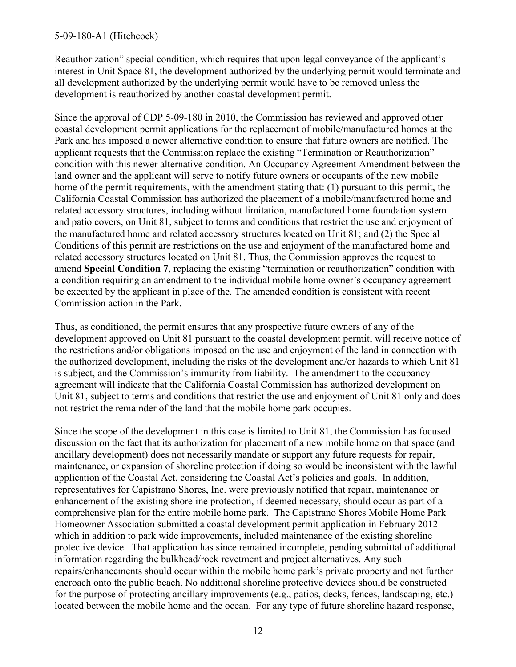#### 5-09-180-A1 (Hitchcock)

Reauthorization" special condition, which requires that upon legal conveyance of the applicant's interest in Unit Space 81, the development authorized by the underlying permit would terminate and all development authorized by the underlying permit would have to be removed unless the development is reauthorized by another coastal development permit.

Since the approval of CDP 5-09-180 in 2010, the Commission has reviewed and approved other coastal development permit applications for the replacement of mobile/manufactured homes at the Park and has imposed a newer alternative condition to ensure that future owners are notified. The applicant requests that the Commission replace the existing "Termination or Reauthorization" condition with this newer alternative condition. An Occupancy Agreement Amendment between the land owner and the applicant will serve to notify future owners or occupants of the new mobile home of the permit requirements, with the amendment stating that: (1) pursuant to this permit, the California Coastal Commission has authorized the placement of a mobile/manufactured home and related accessory structures, including without limitation, manufactured home foundation system and patio covers, on Unit 81, subject to terms and conditions that restrict the use and enjoyment of the manufactured home and related accessory structures located on Unit 81; and (2) the Special Conditions of this permit are restrictions on the use and enjoyment of the manufactured home and related accessory structures located on Unit 81. Thus, the Commission approves the request to amend **Special Condition 7**, replacing the existing "termination or reauthorization" condition with a condition requiring an amendment to the individual mobile home owner's occupancy agreement be executed by the applicant in place of the. The amended condition is consistent with recent Commission action in the Park.

Thus, as conditioned, the permit ensures that any prospective future owners of any of the development approved on Unit 81 pursuant to the coastal development permit, will receive notice of the restrictions and/or obligations imposed on the use and enjoyment of the land in connection with the authorized development, including the risks of the development and/or hazards to which Unit 81 is subject, and the Commission's immunity from liability. The amendment to the occupancy agreement will indicate that the California Coastal Commission has authorized development on Unit 81, subject to terms and conditions that restrict the use and enjoyment of Unit 81 only and does not restrict the remainder of the land that the mobile home park occupies.

Since the scope of the development in this case is limited to Unit 81, the Commission has focused discussion on the fact that its authorization for placement of a new mobile home on that space (and ancillary development) does not necessarily mandate or support any future requests for repair, maintenance, or expansion of shoreline protection if doing so would be inconsistent with the lawful application of the Coastal Act, considering the Coastal Act's policies and goals. In addition, representatives for Capistrano Shores, Inc. were previously notified that repair, maintenance or enhancement of the existing shoreline protection, if deemed necessary, should occur as part of a comprehensive plan for the entire mobile home park. The Capistrano Shores Mobile Home Park Homeowner Association submitted a coastal development permit application in February 2012 which in addition to park wide improvements, included maintenance of the existing shoreline protective device. That application has since remained incomplete, pending submittal of additional information regarding the bulkhead/rock revetment and project alternatives. Any such repairs/enhancements should occur within the mobile home park's private property and not further encroach onto the public beach. No additional shoreline protective devices should be constructed for the purpose of protecting ancillary improvements (e.g., patios, decks, fences, landscaping, etc.) located between the mobile home and the ocean. For any type of future shoreline hazard response,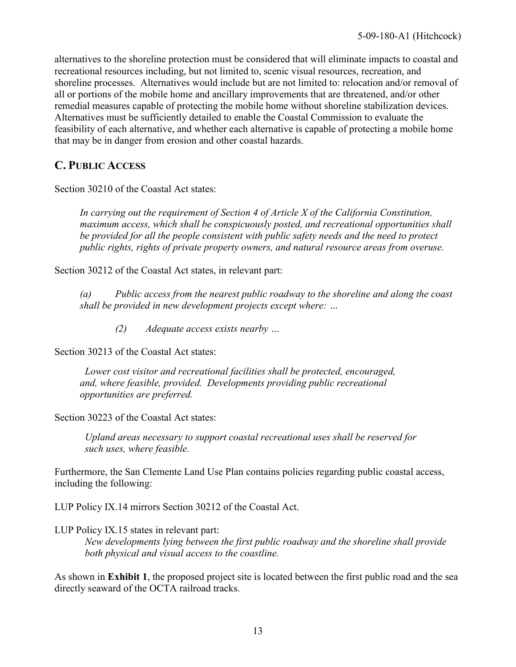alternatives to the shoreline protection must be considered that will eliminate impacts to coastal and recreational resources including, but not limited to, scenic visual resources, recreation, and shoreline processes. Alternatives would include but are not limited to: relocation and/or removal of all or portions of the mobile home and ancillary improvements that are threatened, and/or other remedial measures capable of protecting the mobile home without shoreline stabilization devices. Alternatives must be sufficiently detailed to enable the Coastal Commission to evaluate the feasibility of each alternative, and whether each alternative is capable of protecting a mobile home that may be in danger from erosion and other coastal hazards.

### <span id="page-12-0"></span>**C. PUBLIC ACCESS**

Section 30210 of the Coastal Act states:

*In carrying out the requirement of Section 4 of Article X of the California Constitution, maximum access, which shall be conspicuously posted, and recreational opportunities shall be provided for all the people consistent with public safety needs and the need to protect public rights, rights of private property owners, and natural resource areas from overuse.* 

Section 30212 of the Coastal Act states, in relevant part:

 *(a) Public access from the nearest public roadway to the shoreline and along the coast shall be provided in new development projects except where: …* 

 *(2) Adequate access exists nearby …* 

Section 30213 of the Coastal Act states:

 *Lower cost visitor and recreational facilities shall be protected, encouraged, and, where feasible, provided. Developments providing public recreational opportunities are preferred.* 

Section 30223 of the Coastal Act states:

*Upland areas necessary to support coastal recreational uses shall be reserved for such uses, where feasible.* 

Furthermore, the San Clemente Land Use Plan contains policies regarding public coastal access, including the following:

LUP Policy IX.14 mirrors Section 30212 of the Coastal Act.

LUP Policy IX.15 states in relevant part:

*New developments lying between the first public roadway and the shoreline shall provide both physical and visual access to the coastline.* 

As shown in **Exhibit 1**, the proposed project site is located between the first public road and the sea directly seaward of the OCTA railroad tracks.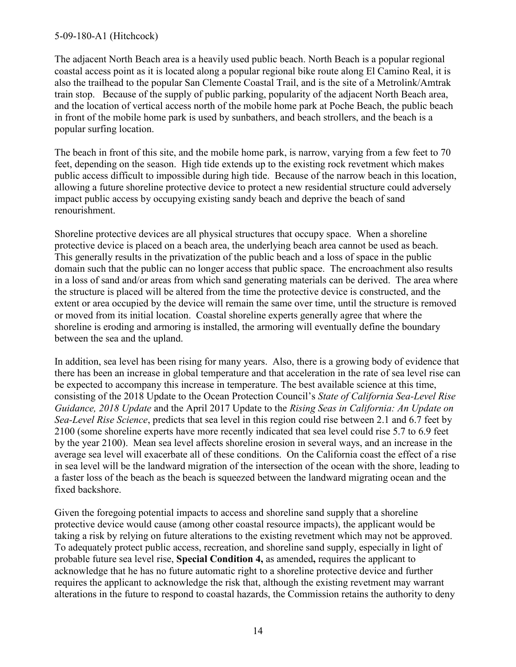#### 5-09-180-A1 (Hitchcock)

The adjacent North Beach area is a heavily used public beach. North Beach is a popular regional coastal access point as it is located along a popular regional bike route along El Camino Real, it is also the trailhead to the popular San Clemente Coastal Trail, and is the site of a Metrolink/Amtrak train stop. Because of the supply of public parking, popularity of the adjacent North Beach area, and the location of vertical access north of the mobile home park at Poche Beach, the public beach in front of the mobile home park is used by sunbathers, and beach strollers, and the beach is a popular surfing location.

The beach in front of this site, and the mobile home park, is narrow, varying from a few feet to 70 feet, depending on the season. High tide extends up to the existing rock revetment which makes public access difficult to impossible during high tide. Because of the narrow beach in this location, allowing a future shoreline protective device to protect a new residential structure could adversely impact public access by occupying existing sandy beach and deprive the beach of sand renourishment.

Shoreline protective devices are all physical structures that occupy space. When a shoreline protective device is placed on a beach area, the underlying beach area cannot be used as beach. This generally results in the privatization of the public beach and a loss of space in the public domain such that the public can no longer access that public space. The encroachment also results in a loss of sand and/or areas from which sand generating materials can be derived. The area where the structure is placed will be altered from the time the protective device is constructed, and the extent or area occupied by the device will remain the same over time, until the structure is removed or moved from its initial location. Coastal shoreline experts generally agree that where the shoreline is eroding and armoring is installed, the armoring will eventually define the boundary between the sea and the upland.

In addition, sea level has been rising for many years. Also, there is a growing body of evidence that there has been an increase in global temperature and that acceleration in the rate of sea level rise can be expected to accompany this increase in temperature. The best available science at this time, consisting of the 2018 Update to the Ocean Protection Council's *State of California Sea-Level Rise Guidance, 2018 Update* and the April 2017 Update to the *Rising Seas in California: An Update on Sea-Level Rise Science*, predicts that sea level in this region could rise between 2.1 and 6.7 feet by 2100 (some shoreline experts have more recently indicated that sea level could rise 5.7 to 6.9 feet by the year 2100). Mean sea level affects shoreline erosion in several ways, and an increase in the average sea level will exacerbate all of these conditions. On the California coast the effect of a rise in sea level will be the landward migration of the intersection of the ocean with the shore, leading to a faster loss of the beach as the beach is squeezed between the landward migrating ocean and the fixed backshore.

Given the foregoing potential impacts to access and shoreline sand supply that a shoreline protective device would cause (among other coastal resource impacts), the applicant would be taking a risk by relying on future alterations to the existing revetment which may not be approved. To adequately protect public access, recreation, and shoreline sand supply, especially in light of probable future sea level rise, **Special Condition 4,** as amended**,** requires the applicant to acknowledge that he has no future automatic right to a shoreline protective device and further requires the applicant to acknowledge the risk that, although the existing revetment may warrant alterations in the future to respond to coastal hazards, the Commission retains the authority to deny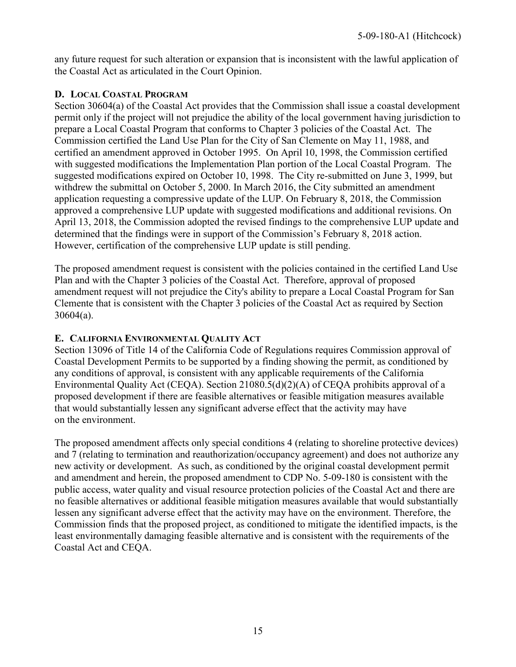any future request for such alteration or expansion that is inconsistent with the lawful application of the Coastal Act as articulated in the Court Opinion.

#### <span id="page-14-0"></span>**D. LOCAL COASTAL PROGRAM**

Section 30604(a) of the Coastal Act provides that the Commission shall issue a coastal development permit only if the project will not prejudice the ability of the local government having jurisdiction to prepare a Local Coastal Program that conforms to Chapter 3 policies of the Coastal Act. The Commission certified the Land Use Plan for the City of San Clemente on May 11, 1988, and certified an amendment approved in October 1995. On April 10, 1998, the Commission certified with suggested modifications the Implementation Plan portion of the Local Coastal Program. The suggested modifications expired on October 10, 1998. The City re-submitted on June 3, 1999, but withdrew the submittal on October 5, 2000. In March 2016, the City submitted an amendment application requesting a compressive update of the LUP. On February 8, 2018, the Commission approved a comprehensive LUP update with suggested modifications and additional revisions. On April 13, 2018, the Commission adopted the revised findings to the comprehensive LUP update and determined that the findings were in support of the Commission's February 8, 2018 action. However, certification of the comprehensive LUP update is still pending.

The proposed amendment request is consistent with the policies contained in the certified Land Use Plan and with the Chapter 3 policies of the Coastal Act. Therefore, approval of proposed amendment request will not prejudice the City's ability to prepare a Local Coastal Program for San Clemente that is consistent with the Chapter 3 policies of the Coastal Act as required by Section 30604(a).

### **E. CALIFORNIA ENVIRONMENTAL QUALITY ACT**

Section 13096 of Title 14 of the California Code of Regulations requires Commission approval of Coastal Development Permits to be supported by a finding showing the permit, as conditioned by any conditions of approval, is consistent with any applicable requirements of the California Environmental Quality Act (CEQA). Section 21080.5(d)(2)(A) of CEQA prohibits approval of a proposed development if there are feasible alternatives or feasible mitigation measures available that would substantially lessen any significant adverse effect that the activity may have on the environment.

The proposed amendment affects only special conditions 4 (relating to shoreline protective devices) and 7 (relating to termination and reauthorization/occupancy agreement) and does not authorize any new activity or development. As such, as conditioned by the original coastal development permit and amendment and herein, the proposed amendment to CDP No. 5-09-180 is consistent with the public access, water quality and visual resource protection policies of the Coastal Act and there are no feasible alternatives or additional feasible mitigation measures available that would substantially lessen any significant adverse effect that the activity may have on the environment. Therefore, the Commission finds that the proposed project, as conditioned to mitigate the identified impacts, is the least environmentally damaging feasible alternative and is consistent with the requirements of the Coastal Act and CEQA.